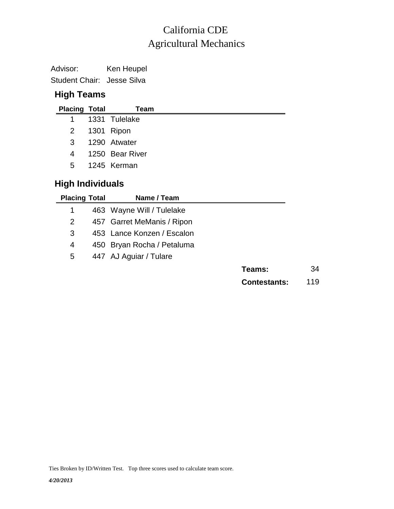### Agricultural Mechanics California CDE

Advisor: Ken Heupel Student Chair: Jesse Silva

#### **High Teams**

|             | <b>Placing Total</b> | Team            |
|-------------|----------------------|-----------------|
| $1 \quad$   |                      | 1331 Tulelake   |
|             |                      | 2 1301 Ripon    |
| 3           |                      | 1290 Atwater    |
| 4           |                      | 1250 Bear River |
| $5^{\circ}$ |                      | 1245 Kerman     |
|             |                      |                 |

#### **High Individuals**

| <b>Placing Total</b> | Name / Team                |                     |    |
|----------------------|----------------------------|---------------------|----|
| 1                    | 463 Wayne Will / Tulelake  |                     |    |
| 2                    | 457 Garret MeManis / Ripon |                     |    |
| 3                    | 453 Lance Konzen / Escalon |                     |    |
| 4                    | 450 Bryan Rocha / Petaluma |                     |    |
| 5                    | 447 AJ Aguiar / Tulare     |                     |    |
|                      |                            | Teams:              | 34 |
|                      |                            | <b>Contestants:</b> | 19 |

Ties Broken by ID/Written Test. Top three scores used to calculate team score.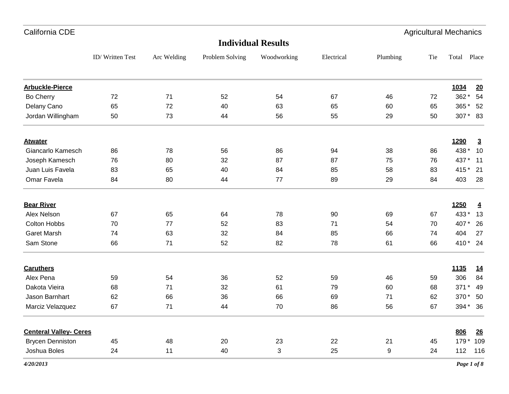## ID/ Written Test Arc Welding Problem Solving Woodworking Electrical Plumbing Tie Total Place **Individual Results Arbuckle-Pierce 1034 20** Bo Cherry 72 71 52 54 67 46 72 362 \* 54 Delany Cano 65 72 40 63 65 60 65 365 \* 52 Jordan Willingham 50 53 53 44 56 55 29 50 307 \* 83 **Atwater 1290 3** Giancarlo Kamesch 86 78 56 86 94 38 86 438 \* 10 Joseph Kamesch 76 80 32 87 87 75 76 437 \* 11 Juan Luis Favela 83 65 40 84 85 58 83 415 \* 21 Omar Favela 84 80 44 77 89 29 84 403 28 **Bear River 1250 4** Alex Nelson 67 65 64 78 90 69 67 433 \* 13 Colton Hobbs 70 77 52 83 71 54 70 407 \* 26 Garet Marsh 74 63 32 84 85 66 74 404 27 Sam Stone 66 71 52 82 78 61 66 410 \* 24 **Caruthers 1135 14** Alex Pena 59 54 36 52 59 46 59 306 84 Dakota Vieira 68 71 32 61 79 60 68 371 \* 49 Jason Barnhart 62 66 36 66 69 71 62 370 \* 50 Marciz Velazquez 67 71 44 70 86 56 67 394 \* 36 **Centeral Valley- Ceres 806 26** Brycen Denniston 45 48 20 23 22 21 45 179 \* 109

Joshua Boles 24 11 40 3 25 9 24 112 116

California CDE Agricultural Mechanics

*4/20/2013 Page 1 of 8*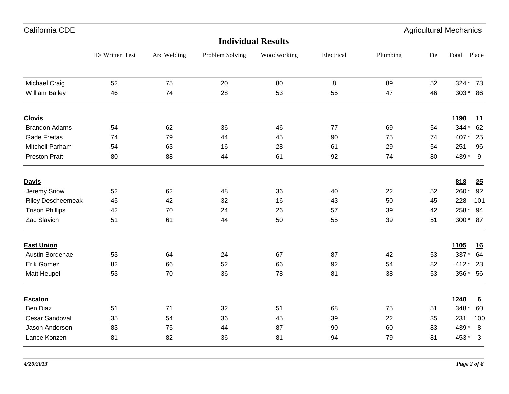| California CDE           |                 |             |                 |                           |            |          |     | <b>Agricultural Mechanics</b> |                 |
|--------------------------|-----------------|-------------|-----------------|---------------------------|------------|----------|-----|-------------------------------|-----------------|
|                          |                 |             |                 | <b>Individual Results</b> |            |          |     |                               |                 |
|                          | ID/Written Test | Arc Welding | Problem Solving | Woodworking               | Electrical | Plumbing | Tie | Total Place                   |                 |
| <b>Michael Craig</b>     | 52              | 75          | 20              | 80                        | 8          | 89       | 52  | 324 * 73                      |                 |
| <b>William Bailey</b>    | 46              | 74          | 28              | 53                        | 55         | 47       | 46  | 303 * 86                      |                 |
| <b>Clovis</b>            |                 |             |                 |                           |            |          |     | 1190                          | <u>11</u>       |
| <b>Brandon Adams</b>     | 54              | 62          | 36              | 46                        | 77         | 69       | 54  | 344 *                         | 62              |
| <b>Gade Freitas</b>      | 74              | 79          | 44              | 45                        | 90         | 75       | 74  | 407*                          | 25              |
| Mitchell Parham          | 54              | 63          | 16              | 28                        | 61         | 29       | 54  | 251                           | 96              |
| <b>Preston Pratt</b>     | 80              | 88          | 44              | 61                        | 92         | 74       | 80  | 439 * 9                       |                 |
| <b>Davis</b>             |                 |             |                 |                           |            |          |     | 818                           | 25              |
| Jeremy Snow              | 52              | 62          | 48              | 36                        | 40         | 22       | 52  | 260*                          | 92              |
| <b>Riley Descheemeak</b> | 45              | 42          | 32              | 16                        | 43         | 50       | 45  | 228                           | 101             |
| <b>Trison Phillips</b>   | 42              | 70          | 24              | 26                        | 57         | 39       | 42  | 258 *                         | 94              |
| Zac Slavich              | 51              | 61          | 44              | 50                        | 55         | 39       | 51  | 300 * 87                      |                 |
| <b>East Union</b>        |                 |             |                 |                           |            |          |     | 1105                          | <u>16</u>       |
| Austin Bordenae          | 53              | 64          | 24              | 67                        | 87         | 42       | 53  | 337 * 64                      |                 |
| Erik Gomez               | 82              | 66          | 52              | 66                        | 92         | 54       | 82  | 412 * 23                      |                 |
| Matt Heupel              | 53              | $70\,$      | 36              | 78                        | 81         | 38       | 53  | 356 * 56                      |                 |
| <b>Escalon</b>           |                 |             |                 |                           |            |          |     | 1240                          | $\underline{6}$ |
| Ben Diaz                 | 51              | 71          | 32              | 51                        | 68         | 75       | 51  | 348 *                         | 60              |
| Cesar Sandoval           | 35              | 54          | 36              | 45                        | 39         | 22       | 35  | 231                           | 100             |
| Jason Anderson           | 83              | 75          | 44              | 87                        | 90         | 60       | 83  | 439 *                         | 8               |
| Lance Konzen             | 81              | 82          | 36              | 81                        | 94         | 79       | 81  | 453 * 3                       |                 |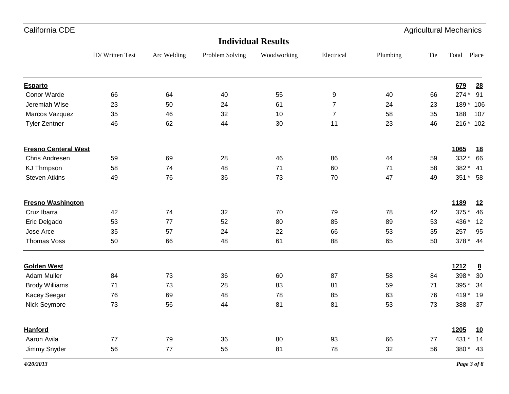| California CDE              |             |                 |             |                           |          |     | <b>Agricultural Mechanics</b> |                                                                                                         |  |  |  |
|-----------------------------|-------------|-----------------|-------------|---------------------------|----------|-----|-------------------------------|---------------------------------------------------------------------------------------------------------|--|--|--|
|                             |             |                 |             |                           |          |     |                               |                                                                                                         |  |  |  |
| ID/Written Test             | Arc Welding | Problem Solving | Woodworking | Electrical                | Plumbing | Tie | Total                         | Place                                                                                                   |  |  |  |
|                             |             |                 |             |                           |          |     |                               | 28                                                                                                      |  |  |  |
| 66                          | 64          | 40              | 55          | 9                         | 40       | 66  |                               | 91                                                                                                      |  |  |  |
| 23                          | 50          | 24              | 61          | $\overline{7}$            | 24       | 23  |                               |                                                                                                         |  |  |  |
| 35                          | 46          | 32              | 10          | $\overline{7}$            | 58       | 35  | 188                           | 107                                                                                                     |  |  |  |
| 46                          | 62          | 44              | 30          | 11                        | 23       | 46  |                               |                                                                                                         |  |  |  |
| <b>Fresno Centeral West</b> |             |                 |             |                           |          |     | 1065                          | <u>18</u>                                                                                               |  |  |  |
| 59                          | 69          | 28              | 46          | 86                        | 44       | 59  | 332 *                         | 66                                                                                                      |  |  |  |
| 58                          | 74          | 48              | 71          | 60                        | 71       | 58  |                               | 41                                                                                                      |  |  |  |
| 49                          | 76          | 36              | 73          | 70                        | 47       | 49  |                               |                                                                                                         |  |  |  |
| <b>Fresno Washington</b>    |             |                 |             |                           |          |     | 1189                          | 12                                                                                                      |  |  |  |
| 42                          | 74          | 32              | 70          | 79                        | 78       | 42  | 375 *                         | 46                                                                                                      |  |  |  |
| 53                          | 77          | 52              | 80          | 85                        | 89       | 53  | 436 *                         | 12                                                                                                      |  |  |  |
| 35                          | 57          | 24              | 22          | 66                        | 53       | 35  | 257                           | 95                                                                                                      |  |  |  |
| 50                          | 66          | 48              | 61          | 88                        | 65       | 50  |                               |                                                                                                         |  |  |  |
|                             |             |                 |             |                           |          |     |                               | $\underline{8}$                                                                                         |  |  |  |
| 84                          | 73          | 36              | 60          | 87                        | 58       | 84  | 398 *                         | 30                                                                                                      |  |  |  |
| 71                          | 73          | 28              | 83          | 81                        | 59       | 71  | 395*                          | 34                                                                                                      |  |  |  |
| 76                          | 69          | 48              | 78          | 85                        | 63       | 76  |                               |                                                                                                         |  |  |  |
| 73                          | 56          | 44              | 81          | 81                        | 53       | 73  | 388                           | 37                                                                                                      |  |  |  |
|                             |             |                 |             |                           |          |     | 1205                          | <u>10</u>                                                                                               |  |  |  |
| 77                          | 79          | 36              | 80          | 93                        | 66       | 77  | 431<br>$\star$                | 14                                                                                                      |  |  |  |
| 56                          | 77          | 56              | 81          | 78                        | 32       | 56  |                               |                                                                                                         |  |  |  |
|                             |             |                 |             | <b>Individual Results</b> |          |     |                               | 679<br>$274*$<br>189 * 106<br>216 * 102<br>382 *<br>351 * 58<br>378 * 44<br>1212<br>419 * 19<br>380* 43 |  |  |  |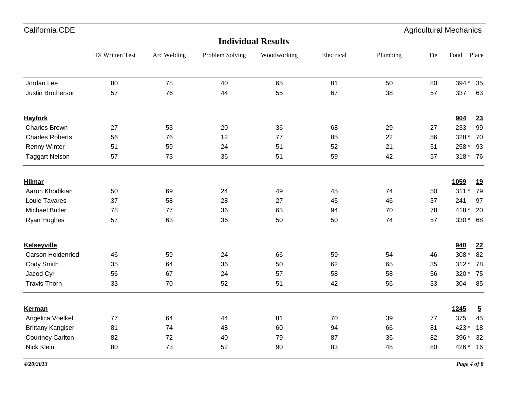| California CDE           |                 |             |                 |                           |            |          | <b>Agricultural Mechanics</b> |          |                |
|--------------------------|-----------------|-------------|-----------------|---------------------------|------------|----------|-------------------------------|----------|----------------|
|                          |                 |             |                 | <b>Individual Results</b> |            |          |                               |          |                |
|                          | ID/Written Test | Arc Welding | Problem Solving | Woodworking               | Electrical | Plumbing | Tie                           | Total    | Place          |
| Jordan Lee               | 80              | 78          | 40              | 65                        | 81         | 50       | 80                            | 394 *    | 35             |
| Justin Brotherson        | 57              | 76          | 44              | 55                        | 67         | 38       | 57                            | 337      | 63             |
| <b>Hayfork</b>           |                 |             |                 |                           |            |          |                               | 904      | 23             |
| <b>Charles Brown</b>     | 27              | 53          | 20              | 36                        | 68         | 29       | 27                            | 233      | 99             |
| <b>Charles Roberts</b>   | 56              | 76          | 12              | 77                        | 85         | 22       | 56                            | 328 *    | 70             |
| <b>Renny Winter</b>      | 51              | 59          | 24              | 51                        | 52         | 21       | 51                            | 258 *    | 93             |
| <b>Taggart Nelson</b>    | 57              | 73          | 36              | 51                        | 59         | 42       | 57                            | 318 * 76 |                |
| <b>Hilmar</b>            |                 |             |                 |                           |            |          |                               | 1059     | <u>19</u>      |
| Aaron Khodikian          | 50              | 69          | 24              | 49                        | 45         | 74       | 50                            | $311*$   | 79             |
| Louie Tavares            | 37              | 58          | 28              | 27                        | 45         | 46       | 37                            | 241      | 97             |
| <b>Michael Butler</b>    | 78              | 77          | 36              | 63                        | 94         | 70       | 78                            | 418*     | 20             |
| Ryan Hughes              | 57              | 63          | 36              | 50                        | 50         | 74       | 57                            | 330* 68  |                |
| <b>Kelseyville</b>       |                 |             |                 |                           |            |          |                               | 940      | 22             |
| Carson Holdenried        | 46              | 59          | 24              | 66                        | 59         | 54       | 46                            | 308 *    | 82             |
| Cody Smith               | 35              | 64          | 36              | 50                        | 62         | 65       | 35                            | $312*$   | 78             |
| Jacod Cyr                | 56              | 67          | 24              | 57                        | 58         | 58       | 56                            | 320 * 75 |                |
| <b>Travis Thorn</b>      | 33              | 70          | 52              | 51                        | 42         | 56       | 33                            | 304      | 85             |
| <b>Kerman</b>            |                 |             |                 |                           |            |          |                               | 1245     | $\overline{5}$ |
| Angelica Voelkel         | 77              | 64          | 44              | 81                        | 70         | 39       | 77                            | 375      | 45             |
| <b>Brittany Kangiser</b> | 81              | 74          | 48              | 60                        | 94         | 66       | 81                            | 423 *    | 18             |
| <b>Courtney Carlton</b>  | 82              | 72          | 40              | 79                        | 87         | 36       | 82                            | 396 *    | 32             |
| Nick Klein               | 80              | 73          | 52              | 90                        | 83         | 48       | 80                            | 426 *    | 16             |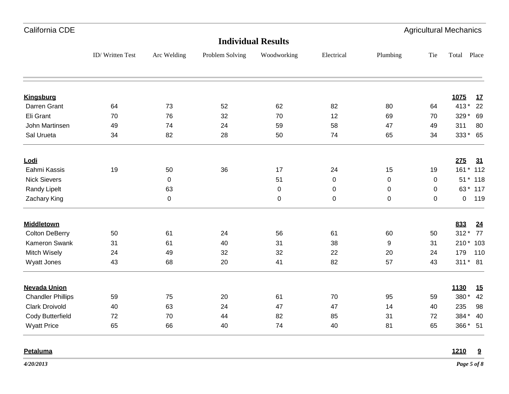| California CDE              |                 |             |                 |                           |             |             |             | <b>Agricultural Mechanics</b> |
|-----------------------------|-----------------|-------------|-----------------|---------------------------|-------------|-------------|-------------|-------------------------------|
|                             |                 |             |                 | <b>Individual Results</b> |             |             |             |                               |
|                             | ID/Written Test | Arc Welding | Problem Solving | Woodworking               | Electrical  | Plumbing    | Tie         | Total Place                   |
|                             |                 |             |                 |                           |             |             |             |                               |
| <b>Kingsburg</b>            |                 |             |                 |                           |             |             |             | 1075<br>17                    |
| Darren Grant                | 64              | 73          | 52              | 62                        | 82          | 80          | 64          | 413 * 22                      |
| Eli Grant<br>John Martinsen | 70<br>49        | 76<br>74    | 32<br>24        | 70<br>59                  | 12<br>58    | 69<br>47    | 70<br>49    | 329 * 69<br>311<br>80         |
| Sal Urueta                  | 34              | 82          | 28              | 50                        | 74          | 65          | 34          | 333* 65                       |
| Lodi                        |                 |             |                 |                           |             |             |             | 275<br>31                     |
| Eahmi Kassis                | 19              | 50          | 36              | 17                        | 24          | 15          | 19          | 161 * 112                     |
| <b>Nick Sievers</b>         |                 | $\mathbf 0$ |                 | 51                        | $\mathbf 0$ | 0           | 0           | 51 * 118                      |
| Randy Lipelt                |                 | 63          |                 | $\pmb{0}$                 | 0           | 0           | 0           | 63 * 117                      |
| Zachary King                |                 | $\mathbf 0$ |                 | $\mathbf 0$               | $\pmb{0}$   | $\mathbf 0$ | $\mathbf 0$ | $\mathbf 0$<br>119            |
| <b>Middletown</b>           |                 |             |                 |                           |             |             |             | 833<br>24                     |
| <b>Colton DeBerry</b>       | 50              | 61          | 24              | 56                        | 61          | 60          | 50          | 312 * 77                      |
| Kameron Swank               | 31              | 61          | 40              | 31                        | 38          | 9           | 31          | 210 * 103                     |
| Mitch Wisely                | 24              | 49          | 32              | 32                        | 22          | 20          | 24          | 179<br>110                    |
| Wyatt Jones                 | 43              | 68          | 20              | 41                        | 82          | 57          | 43          | 311 * 81                      |
| <b>Nevada Union</b>         |                 |             |                 |                           |             |             |             | 1130<br><u>15</u>             |
| <b>Chandler Phillips</b>    | 59              | 75          | 20              | 61                        | 70          | 95          | 59          | 380 *<br>42                   |
| <b>Clark Droivold</b>       | 40              | 63          | 24              | 47                        | 47          | 14          | 40          | 235<br>98                     |
| Cody Butterfield            | 72              | 70          | 44              | 82                        | 85          | 31          | 72          | 384 * 40                      |
| <b>Wyatt Price</b>          | 65              | 66          | 40              | 74                        | 40          | 81          | 65          | 366 * 51                      |
| Petaluma                    |                 |             |                 |                           |             |             |             | 1210<br>9                     |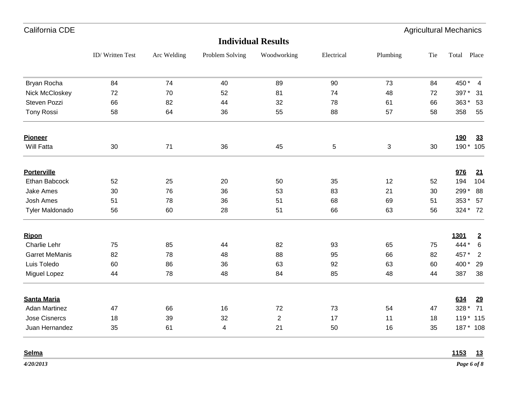| California CDE        |                 |             |                 |                           |             |          |     | <b>Agricultural Mechanics</b> |
|-----------------------|-----------------|-------------|-----------------|---------------------------|-------------|----------|-----|-------------------------------|
|                       |                 |             |                 | <b>Individual Results</b> |             |          |     |                               |
|                       | ID/Written Test | Arc Welding | Problem Solving | Woodworking               | Electrical  | Plumbing | Tie | Total Place                   |
| Bryan Rocha           | 84              | 74          | 40              | 89                        | 90          | 73       | 84  | 450 * 4                       |
| Nick McCloskey        | 72              | 70          | 52              | 81                        | 74          | 48       | 72  | 397 *<br>31                   |
| Steven Pozzi          | 66              | 82          | 44              | 32                        | 78          | 61       | 66  | $363*$<br>53                  |
| <b>Tony Rossi</b>     | 58              | 64          | 36              | 55                        | 88          | 57       | 58  | 358<br>55                     |
| <b>Pioneer</b>        |                 |             |                 |                           |             |          |     | <b>190</b><br><u>33</u>       |
| Will Fatta            | 30              | 71          | 36              | 45                        | $\mathbf 5$ | 3        | 30  | 190 * 105                     |
| <b>Porterville</b>    |                 |             |                 |                           |             |          |     | 976<br>21                     |
| Ethan Babcock         | 52              | 25          | 20              | 50                        | 35          | 12       | 52  | 194<br>104                    |
| <b>Jake Ames</b>      | 30              | 76          | 36              | 53                        | 83          | 21       | 30  | 299 *<br>88                   |
| <b>Josh Ames</b>      | 51              | 78          | 36              | 51                        | 68          | 69       | 51  | 353 * 57                      |
| Tyler Maldonado       | 56              | 60          | 28              | 51                        | 66          | 63       | 56  | 324 * 72                      |
| <b>Ripon</b>          |                 |             |                 |                           |             |          |     | 1301<br>$\overline{2}$        |
| Charlie Lehr          | 75              | 85          | 44              | 82                        | 93          | 65       | 75  | 444 *<br>$\,6\,$              |
| <b>Garret MeManis</b> | 82              | 78          | 48              | 88                        | 95          | 66       | 82  | 457 *<br>$\overline{2}$       |
| Luis Toledo           | 60              | 86          | 36              | 63                        | 92          | 63       | 60  | 400 *<br>29                   |
| Miguel Lopez          | 44              | 78          | 48              | 84                        | 85          | 48       | 44  | 387<br>38                     |
| <b>Santa Maria</b>    |                 |             |                 |                           |             |          |     | 634<br><u>29</u>              |
| <b>Adan Martinez</b>  | 47              | 66          | 16              | 72                        | 73          | 54       | 47  | 328 * 71                      |
| <b>Jose Cisnercs</b>  | 18              | 39          | 32              | $\mathbf{2}$              | 17          | 11       | 18  | 119 * 115                     |
| Juan Hernandez        | 35              | 61          | 4               | 21                        | 50          | 16       | 35  | 187 * 108                     |
| Selma                 |                 |             |                 |                           |             |          |     | 1153<br>13                    |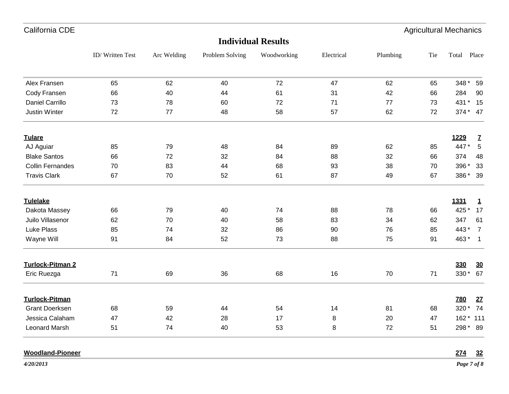| California CDE          |                 |             |                 |                           |            |          |     | <b>Agricultural Mechanics</b> |                |
|-------------------------|-----------------|-------------|-----------------|---------------------------|------------|----------|-----|-------------------------------|----------------|
|                         |                 |             |                 | <b>Individual Results</b> |            |          |     |                               |                |
|                         | ID/Written Test | Arc Welding | Problem Solving | Woodworking               | Electrical | Plumbing | Tie | Total Place                   |                |
| Alex Fransen            | 65              | 62          | 40              | 72                        | 47         | 62       | 65  | 348 * 59                      |                |
| Cody Fransen            | 66              | 40          | 44              | 61                        | 31         | 42       | 66  | 284                           | 90             |
| <b>Daniel Carrillo</b>  | 73              | 78          | 60              | 72                        | 71         | 77       | 73  | 431 * 15                      |                |
| <b>Justin Winter</b>    | 72              | $77 \,$     | 48              | 58                        | 57         | 62       | 72  | 374 * 47                      |                |
| <b>Tulare</b>           |                 |             |                 |                           |            |          |     | 1229                          | $\overline{L}$ |
| AJ Aguiar               | 85              | 79          | 48              | 84                        | 89         | 62       | 85  | 447*                          | $\sqrt{5}$     |
| <b>Blake Santos</b>     | 66              | 72          | 32              | 84                        | 88         | 32       | 66  | 374                           | 48             |
| <b>Collin Fernandes</b> | 70              | 83          | 44              | 68                        | 93         | 38       | 70  | 396 *                         | 33             |
| <b>Travis Clark</b>     | 67              | 70          | 52              | 61                        | 87         | 49       | 67  | 386 * 39                      |                |
| <b>Tulelake</b>         |                 |             |                 |                           |            |          |     | 1331                          | $\mathbf{1}$   |
| Dakota Massey           | 66              | 79          | 40              | 74                        | 88         | 78       | 66  | 425 *                         | 17             |
| Juilo Villasenor        | 62              | 70          | 40              | 58                        | 83         | 34       | 62  | 347                           | 61             |
| Luke Plass              | 85              | 74          | 32              | 86                        | 90         | 76       | 85  | 443 * 7                       |                |
| Wayne Will              | 91              | 84          | 52              | 73                        | 88         | 75       | 91  | $463 * 1$                     |                |
| Turlock-Pitman 2        |                 |             |                 |                           |            |          |     | 330                           | 30             |
| Eric Ruezga             | 71              | 69          | 36              | 68                        | 16         | 70       | 71  | 330 * 67                      |                |
| <b>Turlock-Pitman</b>   |                 |             |                 |                           |            |          |     | <b>780</b>                    | 27             |
| <b>Grant Doerksen</b>   | 68              | 59          | 44              | 54                        | 14         | 81       | 68  | 320 * 74                      |                |
| Jessica Calaham         | 47              | 42          | 28              | 17                        | 8          | 20       | 47  | 162 * 111                     |                |
| <b>Leonard Marsh</b>    | 51              | 74          | 40              | 53                        | 8          | 72       | 51  | 298 * 89                      |                |
| <b>Woodland-Pioneer</b> |                 |             |                 |                           |            |          |     | 274                           | 32             |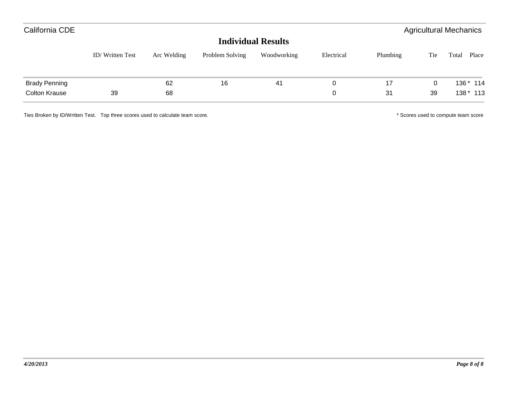| California CDE       |                 |             |                 |             |            |          |     | <b>Agricultural Mechanics</b> |
|----------------------|-----------------|-------------|-----------------|-------------|------------|----------|-----|-------------------------------|
|                      |                 |             |                 |             |            |          |     |                               |
|                      | ID/Written Test | Arc Welding | Problem Solving | Woodworking | Electrical | Plumbing | Tie | Place<br>Total                |
| <b>Brady Penning</b> |                 | 62          | 16              | 41          | 0          | 17       | 0   | 136 * 114                     |
| <b>Colton Krause</b> | 39              | 68          |                 |             | 0          | 31       | 39  | $138 * 113$                   |

Ties Broken by ID/Written Test. Top three scores used to calculate team score. \* Scores used to compute team score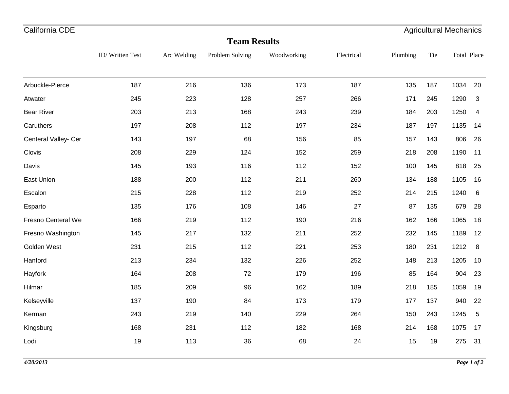| California CDE       |                 |             |                     |             |            |          |     | <b>Agricultural Mechanics</b> |                 |
|----------------------|-----------------|-------------|---------------------|-------------|------------|----------|-----|-------------------------------|-----------------|
|                      |                 |             | <b>Team Results</b> |             |            |          |     |                               |                 |
|                      | ID/Written Test | Arc Welding | Problem Solving     | Woodworking | Electrical | Plumbing | Tie | Total Place                   |                 |
|                      |                 |             |                     |             |            |          |     |                               |                 |
| Arbuckle-Pierce      | 187             | 216         | 136                 | 173         | 187        | 135      | 187 | 1034                          | 20              |
| Atwater              | 245             | 223         | 128                 | 257         | 266        | 171      | 245 | 1290                          | 3               |
| <b>Bear River</b>    | 203             | 213         | 168                 | 243         | 239        | 184      | 203 | 1250                          | 4               |
| Caruthers            | 197             | 208         | 112                 | 197         | 234        | 187      | 197 | 1135                          | 14              |
| Centeral Valley- Cer | 143             | 197         | 68                  | 156         | 85         | 157      | 143 | 806                           | 26              |
| Clovis               | 208             | 229         | 124                 | 152         | 259        | 218      | 208 | 1190                          | 11              |
| Davis                | 145             | 193         | 116                 | 112         | 152        | 100      | 145 | 818                           | 25              |
| East Union           | 188             | 200         | 112                 | 211         | 260        | 134      | 188 | 1105                          | 16              |
| Escalon              | 215             | 228         | 112                 | 219         | 252        | 214      | 215 | 1240                          | $6\phantom{1}6$ |
| Esparto              | 135             | 176         | 108                 | 146         | 27         | 87       | 135 | 679                           | 28              |
| Fresno Centeral We   | 166             | 219         | 112                 | 190         | 216        | 162      | 166 | 1065                          | 18              |
| Fresno Washington    | 145             | 217         | 132                 | 211         | 252        | 232      | 145 | 1189                          | 12              |
| Golden West          | 231             | 215         | 112                 | 221         | 253        | 180      | 231 | 1212                          | 8               |
| Hanford              | 213             | 234         | 132                 | 226         | 252        | 148      | 213 | 1205                          | 10              |
| Hayfork              | 164             | 208         | 72                  | 179         | 196        | 85       | 164 | 904                           | 23              |
| Hilmar               | 185             | 209         | 96                  | 162         | 189        | 218      | 185 | 1059                          | 19              |

Kelseyville 137 190 84 173 179 177 137 940 22

Kerman 243 219 140 229 264 150 243 1245 5

Kingsburg 168 231 112 182 168 214 168 1075 17

Lodi 19 113 36 68 24 15 19 275 31